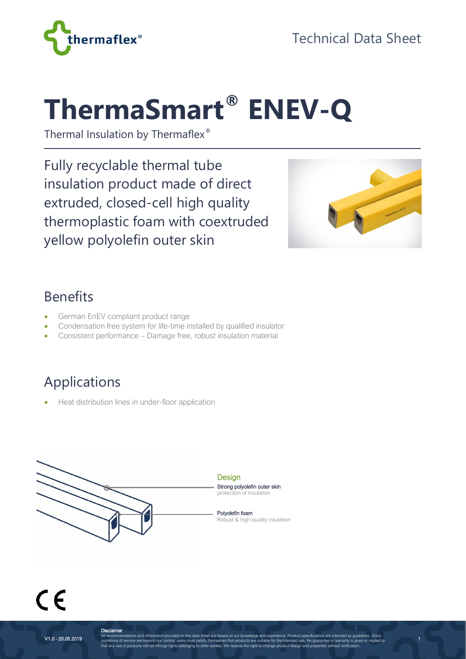



# **ThermaSmart® ENEV-Q**

Thermal Insulation by Thermaflex®

Fully recyclable thermal tube insulation product made of direct extruded, closed-cell high quality thermoplastic foam with coextruded yellow polyolefin outer skin



1

#### Benefits

- German EnEV compliant product range
- Condensation free system for life-time installed by qualified insulator
- Consistent performance Damage free, robust insulation material

# Applications

• Heat distribution lines in under-floor application



 $\epsilon$ 

**Disclaimer**